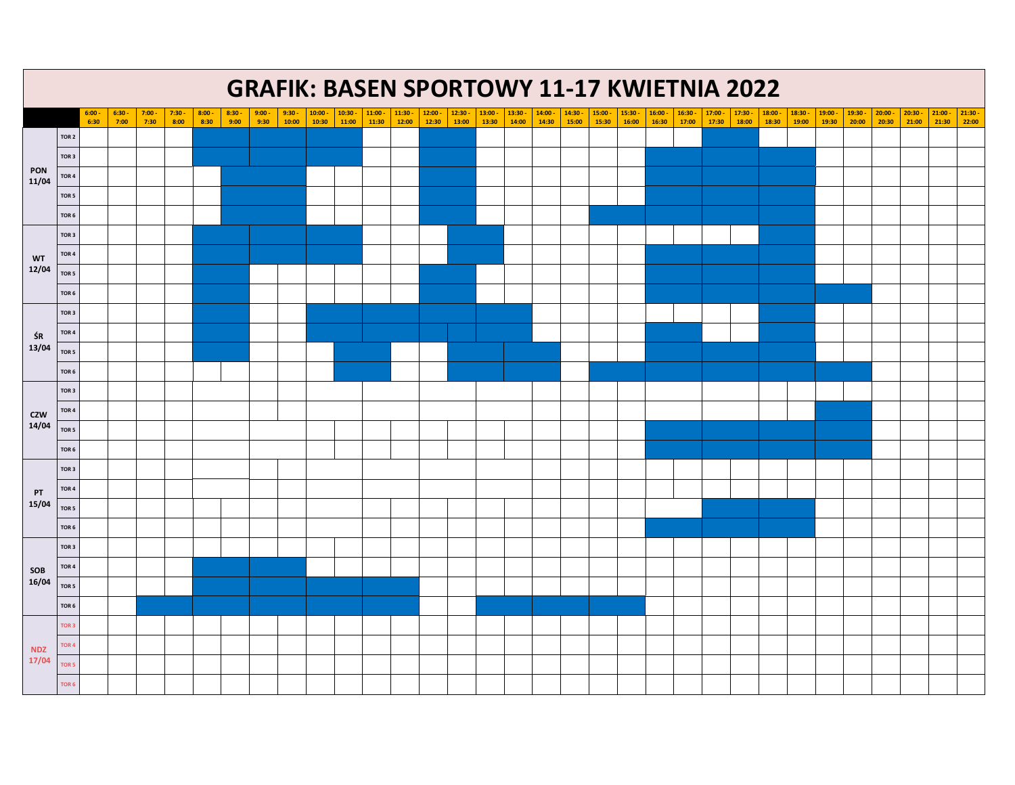